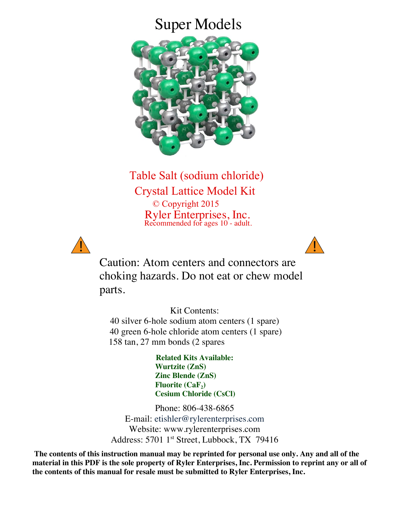## Super Models



 Table Salt (sodium chloride) Crystal Lattice Model Kit © Copyright 2015 Ryler Enterprises, Inc. Recommended for ages 10 - adult.





 Caution: Atom centers and connectors are choking hazards. Do not eat or chew model parts.

Kit Contents: 40 silver 6-hole sodium atom centers (1 spare) 40 green 6-hole chloride atom centers (1 spare) 158 tan, 27 mm bonds (2 spares

> **Related Kits Available: Wurtzite (ZnS) Zinc Blende (ZnS) Fluorite (CaF<sub>2</sub>) Cesium Chloride (CsCl)**

Phone: 806-438-6865 E-mail: etishler@rylerenterprises.com Website: www.rylerenterprises.com Address: 5701 1<sup>st</sup> Street, Lubbock, TX 79416

**The contents of this instruction manual may be reprinted for personal use only. Any and all of the material in this PDF is the sole property of Ryler Enterprises, Inc. Permission to reprint any or all of the contents of this manual for resale must be submitted to Ryler Enterprises, Inc.**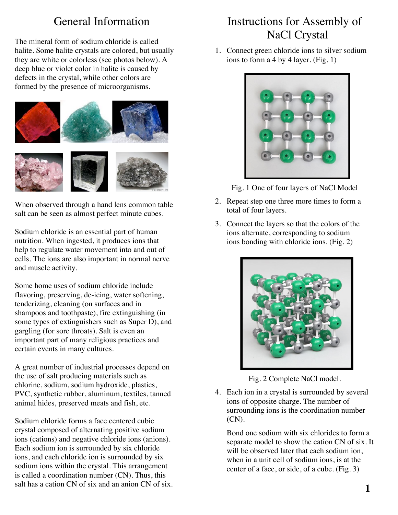## General Information

The mineral form of sodium chloride is called halite. Some halite crystals are colored, but usually they are white or colorless (see photos below). A deep blue or violet color in halite is caused by defects in the crystal, while other colors are formed by the presence of microorganisms.



When observed through a hand lens common table salt can be seen as almost perfect minute cubes.

Sodium chloride is an essential part of human nutrition. When ingested, it produces ions that help to regulate water movement into and out of cells. The ions are also important in normal nerve and muscle activity.

Some home uses of sodium chloride include flavoring, preserving, de-icing, water softening, tenderizing, cleaning (on surfaces and in shampoos and toothpaste), fire extinguishing (in some types of extinguishers such as Super D), and gargling (for sore throats). Salt is even an important part of many religious practices and certain events in many cultures.

A great number of industrial processes depend on the use of salt producing materials such as chlorine, sodium, sodium hydroxide, plastics, PVC, synthetic rubber, aluminum, textiles, tanned animal hides, preserved meats and fish, etc.

Sodium chloride forms a face centered cubic crystal composed of alternating positive sodium ions (cations) and negative chloride ions (anions). Each sodium ion is surrounded by six chloride ions, and each chloride ion is surrounded by six sodium ions within the crystal. This arrangement is called a coordination number (CN). Thus, this salt has a cation CN of six and an anion CN of six.

## Instructions for Assembly of NaCl Crystal

1. Connect green chloride ions to silver sodium ions to form a 4 by 4 layer. (Fig. 1)



Fig. 1 One of four layers of NaCl Model

- 2. Repeat step one three more times to form a total of four layers.
- 3. Connect the layers so that the colors of the ions alternate, corresponding to sodium ions bonding with chloride ions. (Fig. 2)



Fig. 2 Complete NaCl model.

4. Each ion in a crystal is surrounded by several ions of opposite charge. The number of surrounding ions is the coordination number (CN).

Bond one sodium with six chlorides to form a separate model to show the cation CN of six. It will be observed later that each sodium ion, when in a unit cell of sodium ions, is at the center of a face, or side, of a cube. (Fig. 3)